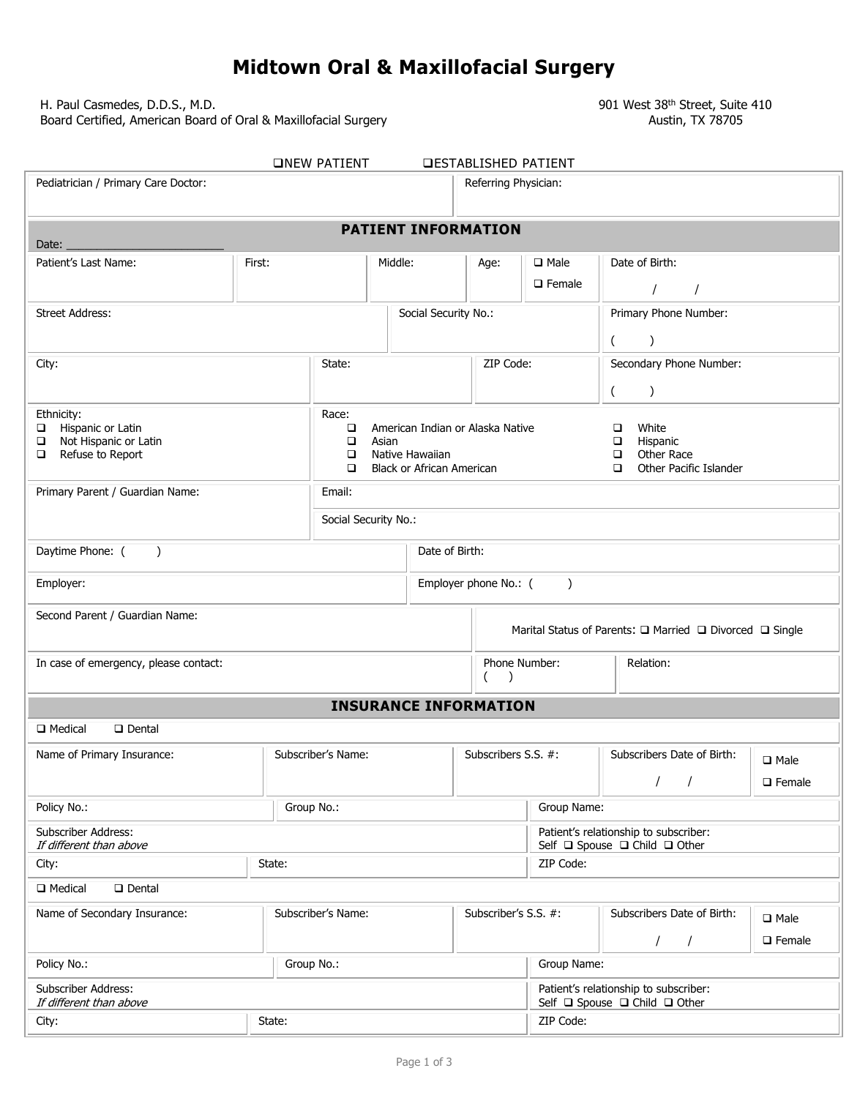## **Midtown Oral & Maxillofacial Surgery**

H. Paul Casmedes, D.D.S., M.D.<br>Board Certified, American Board of Oral & Maxillofacial Surgery 600 Mexicon 1901 West 38<sup>th</sup> Street, Suite 410 Board Certified, American Board of Oral & Maxillofacial Surgery

| <b>ONEW PATIENT</b><br><b>DESTABLISHED PATIENT</b>   |                                                               |                                                                                |                      |                                    |                                                                        |                                                                        |                  |  |  |
|------------------------------------------------------|---------------------------------------------------------------|--------------------------------------------------------------------------------|----------------------|------------------------------------|------------------------------------------------------------------------|------------------------------------------------------------------------|------------------|--|--|
| Pediatrician / Primary Care Doctor:                  |                                                               |                                                                                |                      | Referring Physician:               |                                                                        |                                                                        |                  |  |  |
| Date:                                                |                                                               |                                                                                |                      | <b>PATIENT INFORMATION</b>         |                                                                        |                                                                        |                  |  |  |
| Patient's Last Name:                                 | First:                                                        |                                                                                | Middle:              | Age:                               | $\Box$ Male                                                            | Date of Birth:                                                         |                  |  |  |
|                                                      |                                                               |                                                                                |                      |                                    | $\Box$ Female                                                          |                                                                        |                  |  |  |
| <b>Street Address:</b>                               |                                                               |                                                                                | Social Security No.: |                                    |                                                                        | Primary Phone Number:                                                  |                  |  |  |
|                                                      |                                                               |                                                                                |                      | $\mathcal{C}$<br>$\left($          |                                                                        |                                                                        |                  |  |  |
| City:                                                |                                                               | ZIP Code:<br>State:                                                            |                      |                                    | Secondary Phone Number:                                                |                                                                        |                  |  |  |
|                                                      |                                                               |                                                                                |                      |                                    |                                                                        | $\overline{(\ }$<br>$\lambda$                                          |                  |  |  |
| Ethnicity:                                           |                                                               | Race:                                                                          |                      |                                    |                                                                        |                                                                        |                  |  |  |
| Hispanic or Latin<br>□<br>Not Hispanic or Latin<br>□ | American Indian or Alaska Native<br>$\Box$<br>$\Box$<br>Asian |                                                                                |                      |                                    | White<br>□<br>Hispanic<br>$\Box$                                       |                                                                        |                  |  |  |
| Refuse to Report<br>□                                |                                                               | $\Box$<br>Native Hawaiian                                                      |                      |                                    |                                                                        | Other Race<br>$\Box$                                                   |                  |  |  |
|                                                      |                                                               | <b>Black or African American</b><br>$\Box$<br>Other Pacific Islander<br>$\Box$ |                      |                                    |                                                                        |                                                                        |                  |  |  |
| Primary Parent / Guardian Name:<br>Email:            |                                                               |                                                                                |                      |                                    |                                                                        |                                                                        |                  |  |  |
|                                                      |                                                               |                                                                                | Social Security No.: |                                    |                                                                        |                                                                        |                  |  |  |
| Daytime Phone: (<br>$\rightarrow$                    |                                                               |                                                                                |                      | Date of Birth:                     |                                                                        |                                                                        |                  |  |  |
| Employer:                                            |                                                               |                                                                                |                      | Employer phone No.: (<br>$\lambda$ |                                                                        |                                                                        |                  |  |  |
| Second Parent / Guardian Name:                       |                                                               |                                                                                |                      |                                    |                                                                        | Marital Status of Parents: □ Married □ Divorced □ Single               |                  |  |  |
| In case of emergency, please contact:                |                                                               |                                                                                |                      | Phone Number:<br>Relation:         |                                                                        |                                                                        |                  |  |  |
|                                                      |                                                               |                                                                                |                      | $\left($<br>$\lambda$              |                                                                        |                                                                        |                  |  |  |
|                                                      |                                                               |                                                                                |                      | <b>INSURANCE INFORMATION</b>       |                                                                        |                                                                        |                  |  |  |
| □ Medical<br>$\Box$ Dental                           |                                                               |                                                                                |                      |                                    |                                                                        |                                                                        |                  |  |  |
| Subscriber's Name:<br>Name of Primary Insurance:     |                                                               |                                                                                |                      | Subscribers S.S. #:                |                                                                        | Subscribers Date of Birth:                                             | $\square$ Male   |  |  |
|                                                      |                                                               |                                                                                |                      |                                    |                                                                        | $\prime$                                                               | $\square$ Female |  |  |
| Policy No.:<br>Group No.:                            |                                                               |                                                                                |                      | Group Name:                        |                                                                        |                                                                        |                  |  |  |
| Subscriber Address:<br>If different than above       |                                                               |                                                                                |                      |                                    | Patient's relationship to subscriber:<br>Self □ Spouse □ Child □ Other |                                                                        |                  |  |  |
| State:<br>City:                                      |                                                               |                                                                                |                      | ZIP Code:                          |                                                                        |                                                                        |                  |  |  |
| <b>Q</b> Medical<br>$\Box$ Dental                    |                                                               |                                                                                |                      |                                    |                                                                        |                                                                        |                  |  |  |
| Subscriber's Name:<br>Name of Secondary Insurance:   |                                                               |                                                                                | Subscriber's S.S. #: |                                    | Subscribers Date of Birth:                                             | $\square$ Male                                                         |                  |  |  |
|                                                      |                                                               |                                                                                |                      |                                    | $\Box$ Female                                                          |                                                                        |                  |  |  |
| Policy No.:                                          |                                                               | Group No.:                                                                     |                      |                                    | Group Name:                                                            |                                                                        |                  |  |  |
| Subscriber Address:<br>If different than above       |                                                               |                                                                                |                      |                                    |                                                                        | Patient's relationship to subscriber:<br>Self □ Spouse □ Child □ Other |                  |  |  |
| State:<br>City:                                      |                                                               |                                                                                |                      |                                    | ZIP Code:                                                              |                                                                        |                  |  |  |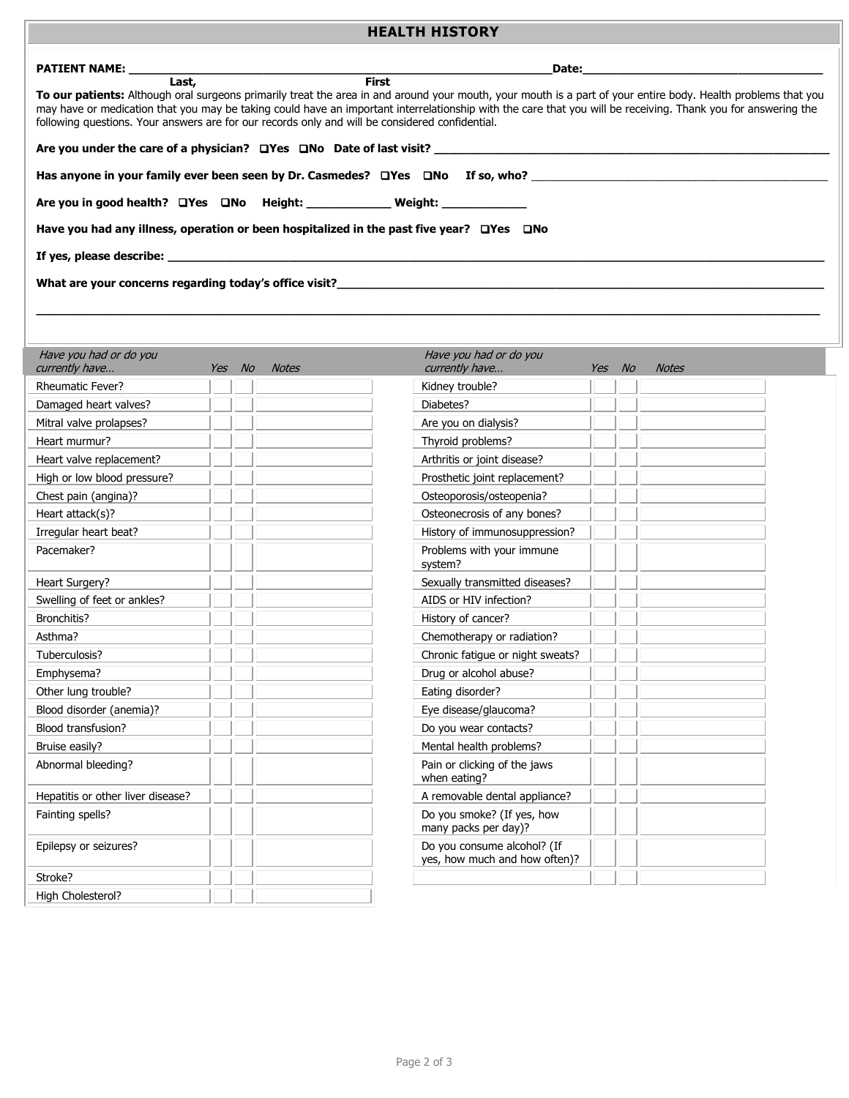## **HEALTH HISTORY**

| <b>PATIENT NAME:</b>                                                                                                                                                                                                          |        |       |              | Date:                                                                                                                                                                                                                                                                                                                          |        | <u> 1990 - Johann Barbara, martin a</u> |  |
|-------------------------------------------------------------------------------------------------------------------------------------------------------------------------------------------------------------------------------|--------|-------|--------------|--------------------------------------------------------------------------------------------------------------------------------------------------------------------------------------------------------------------------------------------------------------------------------------------------------------------------------|--------|-----------------------------------------|--|
| Last,<br>following questions. Your answers are for our records only and will be considered confidential.                                                                                                                      |        |       | <b>First</b> | To our patients: Although oral surgeons primarily treat the area in and around your mouth, your mouth is a part of your entire body. Health problems that you<br>may have or medication that you may be taking could have an important interrelationship with the care that you will be receiving. Thank you for answering the |        |                                         |  |
|                                                                                                                                                                                                                               |        |       |              |                                                                                                                                                                                                                                                                                                                                |        |                                         |  |
|                                                                                                                                                                                                                               |        |       |              |                                                                                                                                                                                                                                                                                                                                |        |                                         |  |
| Are you in good health? □ Yes □ No Height: ________________ Weight: ____________                                                                                                                                              |        |       |              |                                                                                                                                                                                                                                                                                                                                |        |                                         |  |
|                                                                                                                                                                                                                               |        |       |              |                                                                                                                                                                                                                                                                                                                                |        |                                         |  |
| Have you had any illness, operation or been hospitalized in the past five year? UYes UNo                                                                                                                                      |        |       |              |                                                                                                                                                                                                                                                                                                                                |        |                                         |  |
| If yes, please describe: the contract of year of the contract of the contract of the contract of the contract of the contract of the contract of the contract of the contract of the contract of the contract of the contract |        |       |              |                                                                                                                                                                                                                                                                                                                                |        |                                         |  |
|                                                                                                                                                                                                                               |        |       |              |                                                                                                                                                                                                                                                                                                                                |        |                                         |  |
|                                                                                                                                                                                                                               |        |       |              |                                                                                                                                                                                                                                                                                                                                |        |                                         |  |
|                                                                                                                                                                                                                               |        |       |              |                                                                                                                                                                                                                                                                                                                                |        |                                         |  |
|                                                                                                                                                                                                                               |        |       |              | Have you had or do you                                                                                                                                                                                                                                                                                                         |        |                                         |  |
| Have you had or do you<br>currently have                                                                                                                                                                                      | Yes No | Notes |              | currently have                                                                                                                                                                                                                                                                                                                 | Yes No | <b>Notes</b>                            |  |
| <b>Rheumatic Fever?</b>                                                                                                                                                                                                       |        |       |              | Kidney trouble?                                                                                                                                                                                                                                                                                                                |        |                                         |  |
| Damaged heart valves?                                                                                                                                                                                                         |        |       |              | Diabetes?                                                                                                                                                                                                                                                                                                                      |        |                                         |  |
| Mitral valve prolapses?                                                                                                                                                                                                       |        |       |              | Are you on dialysis?                                                                                                                                                                                                                                                                                                           |        |                                         |  |
| Heart murmur?                                                                                                                                                                                                                 |        |       |              | Thyroid problems?                                                                                                                                                                                                                                                                                                              |        |                                         |  |
| Heart valve replacement?                                                                                                                                                                                                      |        |       |              | Arthritis or joint disease?                                                                                                                                                                                                                                                                                                    |        |                                         |  |
| High or low blood pressure?                                                                                                                                                                                                   |        |       |              | Prosthetic joint replacement?                                                                                                                                                                                                                                                                                                  |        |                                         |  |
| Chest pain (angina)?                                                                                                                                                                                                          |        |       |              | Osteoporosis/osteopenia?                                                                                                                                                                                                                                                                                                       |        |                                         |  |
| Heart attack(s)?                                                                                                                                                                                                              |        |       |              | Osteonecrosis of any bones?                                                                                                                                                                                                                                                                                                    |        |                                         |  |
| Irregular heart beat?                                                                                                                                                                                                         |        |       |              | History of immunosuppression?                                                                                                                                                                                                                                                                                                  |        |                                         |  |
| Pacemaker?                                                                                                                                                                                                                    |        |       |              | Problems with your immune<br>system?                                                                                                                                                                                                                                                                                           |        |                                         |  |
| Heart Surgery?                                                                                                                                                                                                                |        |       |              | Sexually transmitted diseases?                                                                                                                                                                                                                                                                                                 |        |                                         |  |
| Swelling of feet or ankles?                                                                                                                                                                                                   |        |       |              | AIDS or HIV infection?                                                                                                                                                                                                                                                                                                         |        |                                         |  |
| Bronchitis?                                                                                                                                                                                                                   |        |       |              | History of cancer?                                                                                                                                                                                                                                                                                                             |        |                                         |  |
| Asthma?                                                                                                                                                                                                                       |        |       |              | Chemotherapy or radiation?                                                                                                                                                                                                                                                                                                     |        |                                         |  |
| Tuberculosis?                                                                                                                                                                                                                 |        |       |              | Chronic fatigue or night sweats?                                                                                                                                                                                                                                                                                               |        |                                         |  |
| Emphysema?                                                                                                                                                                                                                    |        |       |              | Drug or alcohol abuse?                                                                                                                                                                                                                                                                                                         |        |                                         |  |
| Other lung trouble?                                                                                                                                                                                                           |        |       |              | Eating disorder?                                                                                                                                                                                                                                                                                                               |        |                                         |  |
| Blood disorder (anemia)?                                                                                                                                                                                                      |        |       |              | Eye disease/glaucoma?                                                                                                                                                                                                                                                                                                          |        |                                         |  |
| Blood transfusion?                                                                                                                                                                                                            |        |       |              | Do you wear contacts?                                                                                                                                                                                                                                                                                                          |        |                                         |  |
| Bruise easily?                                                                                                                                                                                                                |        |       |              | Mental health problems?                                                                                                                                                                                                                                                                                                        |        |                                         |  |
| Abnormal bleeding?                                                                                                                                                                                                            |        |       |              | Pain or clicking of the jaws<br>when eating?                                                                                                                                                                                                                                                                                   |        |                                         |  |
| Hepatitis or other liver disease?                                                                                                                                                                                             |        |       |              | A removable dental appliance?                                                                                                                                                                                                                                                                                                  |        |                                         |  |
| Fainting spells?                                                                                                                                                                                                              |        |       |              | Do you smoke? (If yes, how<br>many packs per day)?                                                                                                                                                                                                                                                                             |        |                                         |  |

yes, how much and how often)?

Epilepsy or seizures? The consume alcohol? (If the consume alcohol? (If the consume alcohol? (If

Stroke?

High Cholesterol?